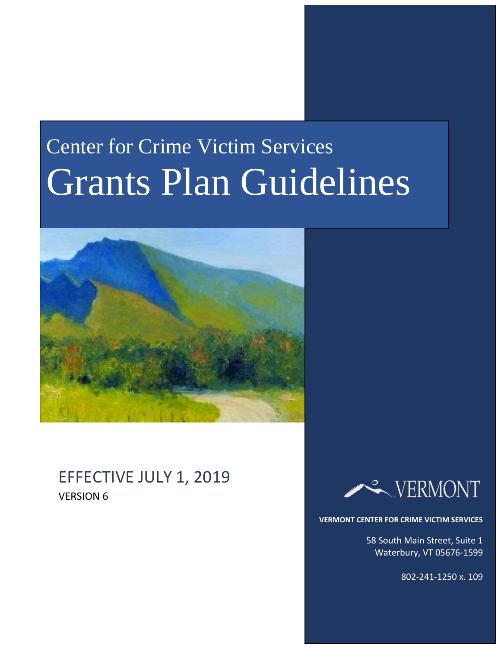# Center for Crime Victim Services Grants Plan Guidelines



# EFFECTIVE JULY 1, 2019 VERSION 6



**VERMONT CENTER FOR CRIME VICTIM SERVICES**

58 South Main Street, Suite 1 Waterbury, VT 05676-1599

802-241-1250 x. 109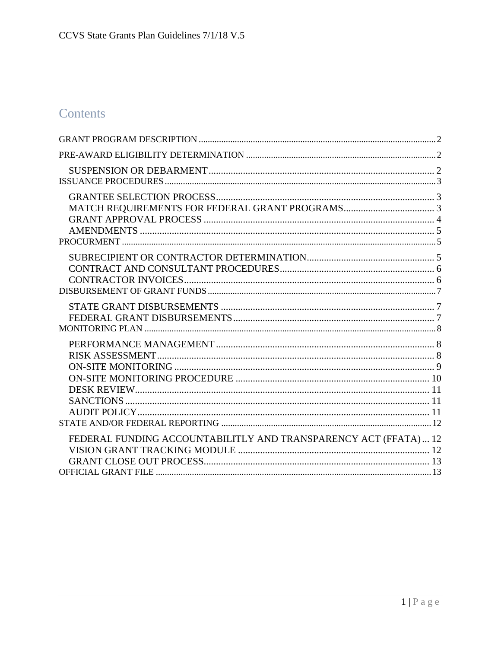# Contents

| FEDERAL FUNDING ACCOUNTABILITLY AND TRANSPARENCY ACT (FFATA)  12 |  |
|------------------------------------------------------------------|--|
|                                                                  |  |
|                                                                  |  |
|                                                                  |  |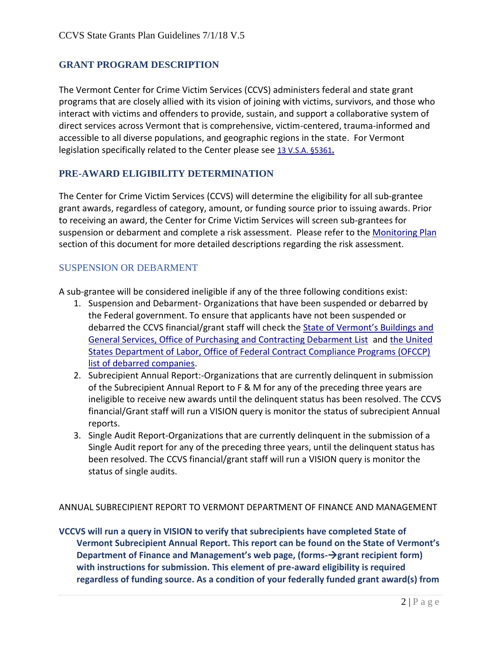## <span id="page-2-0"></span>**GRANT PROGRAM DESCRIPTION**

The Vermont Center for Crime Victim Services (CCVS) administers federal and state grant programs that are closely allied with its vision of joining with victims, survivors, and those who interact with victims and offenders to provide, sustain, and support a collaborative system of direct services across Vermont that is comprehensive, victim-centered, trauma-informed and accessible to all diverse populations, and geographic regions in the state. For Vermont legislation specifically related to the Center please see [13 V.S.A. §5361](http://law.justia.com/codes/vermont/2012/title13/chapter167/section5361)**.**

## <span id="page-2-1"></span>**PRE-AWARD ELIGIBILITY DETERMINATION**

The Center for Crime Victim Services (CCVS) will determine the eligibility for all sub-grantee grant awards, regardless of category, amount, or funding source prior to issuing awards. Prior to receiving an award, the Center for Crime Victim Services will screen sub-grantees for suspension or debarment and complete a risk assessment. Please refer to the [Monitoring Plan](#page-8-0) section of this document for more detailed descriptions regarding the risk assessment.

## <span id="page-2-2"></span>SUSPENSION OR DEBARMENT

A sub-grantee will be considered ineligible if any of the three following conditions exist:

- 1. Suspension and Debarment- Organizations that have been suspended or debarred by the Federal government. To ensure that applicants have not been suspended or debarred the CCVS financial/grant staff will check the [State of Vermont's Buildings and](http://bgs.vermont.gov/purchasing/debarment)  [General Services, Office of Purchasing and Contracting Debarment List](http://bgs.vermont.gov/purchasing/debarment) an[d the United](http://www.dol.gov/ofccp/regs/compliance/preaward/debarlst.htm)  [States Department of Labor, Office of Federal Contract Compliance Programs \(OFCCP\)](http://www.dol.gov/ofccp/regs/compliance/preaward/debarlst.htm)  [list of debarred companies.](http://www.dol.gov/ofccp/regs/compliance/preaward/debarlst.htm)
- 2. Subrecipient Annual Report:-Organizations that are currently delinquent in submission of the Subrecipient Annual Report to F & M for any of the preceding three years are ineligible to receive new awards until the delinquent status has been resolved. The CCVS financial/Grant staff will run a VISION query is monitor the status of subrecipient Annual reports.
- 3. Single Audit Report-Organizations that are currently delinquent in the submission of a Single Audit report for any of the preceding three years, until the delinquent status has been resolved. The CCVS financial/grant staff will run a VISION query is monitor the status of single audits.

ANNUAL SUBRECIPIENT REPORT TO VERMONT DEPARTMENT OF FINANCE AND MANAGEMENT

**VCCVS will run a query in VISION to verify that subrecipients have completed State of Vermont Subrecipient Annual Report. This report can be found on the State of Vermont's Department of Finance and Management's web page, (forms−→ grant recipient form) with instructions for submission. This element of pre-award eligibility is required regardless of funding source. As a condition of your federally funded grant award(s) from**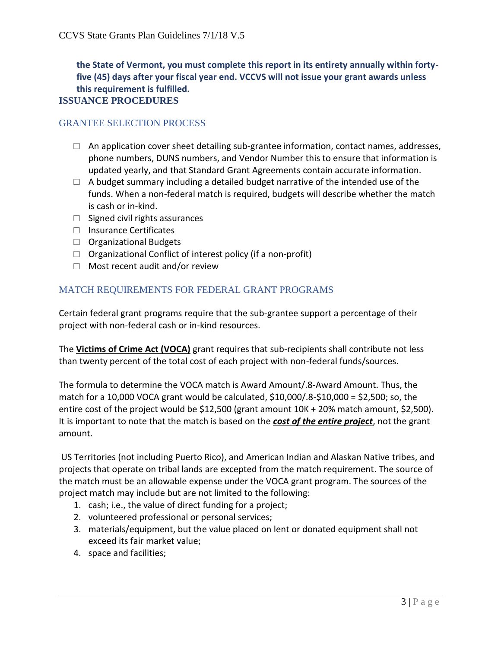<span id="page-3-0"></span>**the State of Vermont, you must complete this report in its entirety annually within fortyfive (45) days after your fiscal year end. VCCVS will not issue your grant awards unless this requirement is fulfilled.**

## **ISSUANCE PROCEDURES**

## <span id="page-3-1"></span>GRANTEE SELECTION PROCESS

- $\Box$  An application cover sheet detailing sub-grantee information, contact names, addresses, phone numbers, DUNS numbers, and Vendor Number this to ensure that information is updated yearly, and that Standard Grant Agreements contain accurate information.
- $\Box$  A budget summary including a detailed budget narrative of the intended use of the funds. When a non-federal match is required, budgets will describe whether the match is cash or in-kind.
- $\Box$  Signed civil rights assurances
- □ Insurance Certificates
- □ Organizational Budgets
- $\Box$  Organizational Conflict of interest policy (if a non-profit)
- □ Most recent audit and/or review

# <span id="page-3-2"></span>MATCH REQUIREMENTS FOR FEDERAL GRANT PROGRAMS

Certain federal grant programs require that the sub-grantee support a percentage of their project with non-federal cash or in-kind resources.

The **Victims of Crime Act (VOCA)** grant requires that sub-recipients shall contribute not less than twenty percent of the total cost of each project with non-federal funds/sources.

The formula to determine the VOCA match is Award Amount/.8-Award Amount. Thus, the match for a 10,000 VOCA grant would be calculated, \$10,000/.8-\$10,000 = \$2,500; so, the entire cost of the project would be \$12,500 (grant amount 10K + 20% match amount, \$2,500). It is important to note that the match is based on the *cost of the entire project*, not the grant amount.

US Territories (not including Puerto Rico), and American Indian and Alaskan Native tribes, and projects that operate on tribal lands are excepted from the match requirement. The source of the match must be an allowable expense under the VOCA grant program. The sources of the project match may include but are not limited to the following:

- 1. cash; i.e., the value of direct funding for a project;
- 2. volunteered professional or personal services;
- 3. materials/equipment, but the value placed on lent or donated equipment shall not exceed its fair market value;
- 4. space and facilities;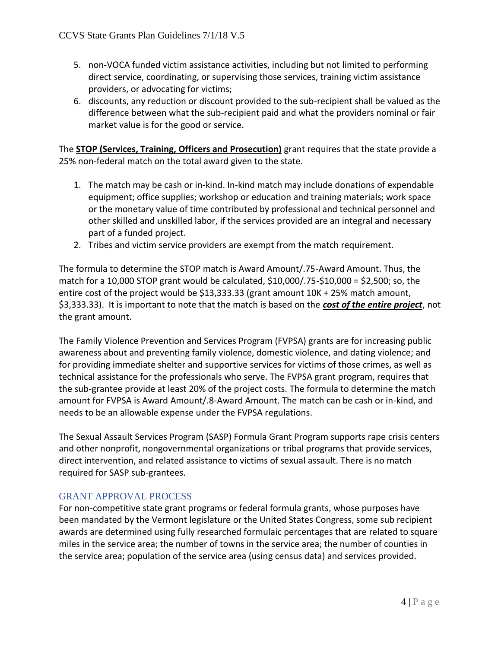- 5. non-VOCA funded victim assistance activities, including but not limited to performing direct service, coordinating, or supervising those services, training victim assistance providers, or advocating for victims;
- 6. discounts, any reduction or discount provided to the sub-recipient shall be valued as the difference between what the sub-recipient paid and what the providers nominal or fair market value is for the good or service.

The **STOP (Services, Training, Officers and Prosecution)** grant requires that the state provide a 25% non-federal match on the total award given to the state.

- 1. The match may be cash or in-kind. In-kind match may include donations of expendable equipment; office supplies; workshop or education and training materials; work space or the monetary value of time contributed by professional and technical personnel and other skilled and unskilled labor, if the services provided are an integral and necessary part of a funded project.
- 2. Tribes and victim service providers are exempt from the match requirement.

The formula to determine the STOP match is Award Amount/.75-Award Amount. Thus, the match for a 10,000 STOP grant would be calculated, \$10,000/.75-\$10,000 = \$2,500; so, the entire cost of the project would be \$13,333.33 (grant amount 10K + 25% match amount, \$3,333.33). It is important to note that the match is based on the *cost of the entire project*, not the grant amount.

The Family Violence Prevention and Services Program (FVPSA) grants are for increasing public awareness about and preventing family violence, domestic violence, and dating violence; and for providing immediate shelter and supportive services for victims of those crimes, as well as technical assistance for the professionals who serve. The FVPSA grant program, requires that the sub-grantee provide at least 20% of the project costs. The formula to determine the match amount for FVPSA is Award Amount/.8-Award Amount. The match can be cash or in-kind, and needs to be an allowable expense under the FVPSA regulations.

The Sexual Assault Services Program (SASP) Formula Grant Program supports rape crisis centers and other nonprofit, nongovernmental organizations or tribal programs that provide services, direct intervention, and related assistance to victims of sexual assault. There is no match required for SASP sub-grantees.

## <span id="page-4-0"></span>GRANT APPROVAL PROCESS

For non-competitive state grant programs or federal formula grants, whose purposes have been mandated by the Vermont legislature or the United States Congress, some sub recipient awards are determined using fully researched formulaic percentages that are related to square miles in the service area; the number of towns in the service area; the number of counties in the service area; population of the service area (using census data) and services provided.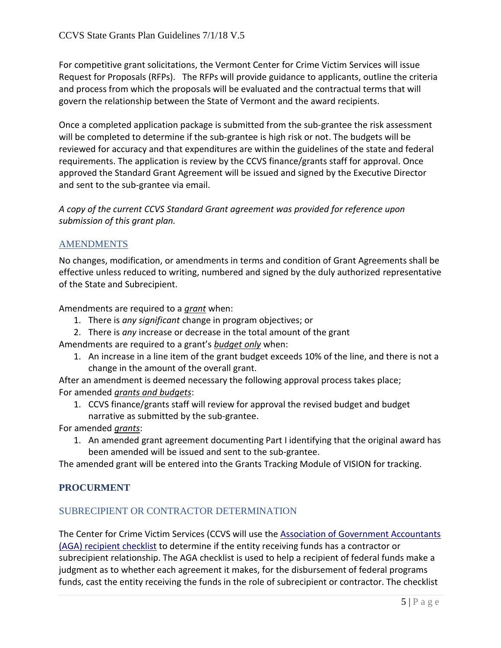For competitive grant solicitations, the Vermont Center for Crime Victim Services will issue Request for Proposals (RFPs). The RFPs will provide guidance to applicants, outline the criteria and process from which the proposals will be evaluated and the contractual terms that will govern the relationship between the State of Vermont and the award recipients.

Once a completed application package is submitted from the sub-grantee the risk assessment will be completed to determine if the sub-grantee is high risk or not. The budgets will be reviewed for accuracy and that expenditures are within the guidelines of the state and federal requirements. The application is review by the CCVS finance/grants staff for approval. Once approved the Standard Grant Agreement will be issued and signed by the Executive Director and sent to the sub-grantee via email.

*A copy of the current CCVS Standard Grant agreement was provided for reference upon submission of this grant plan.*

## <span id="page-5-0"></span>AMENDMENTS

No changes, modification, or amendments in terms and condition of Grant Agreements shall be effective unless reduced to writing, numbered and signed by the duly authorized representative of the State and Subrecipient.

Amendments are required to a *grant* when:

- 1. There is *any significant* change in program objectives; or
- 2. There is *any* increase or decrease in the total amount of the grant
- Amendments are required to a grant's *budget only* when:
	- 1. An increase in a line item of the grant budget exceeds 10% of the line, and there is not a change in the amount of the overall grant.

After an amendment is deemed necessary the following approval process takes place; For amended *grants and budgets*:

1. CCVS finance/grants staff will review for approval the revised budget and budget narrative as submitted by the sub-grantee.

For amended *grants*:

1. An amended grant agreement documenting Part I identifying that the original award has been amended will be issued and sent to the sub-grantee.

The amended grant will be entered into the Grants Tracking Module of VISION for tracking.

## <span id="page-5-1"></span>**PROCURMENT**

## <span id="page-5-2"></span>SUBRECIPIENT OR CONTRACTOR DETERMINATION

The Center for Crime Victim Services (CCVS will use the [Association of Government Accountants](https://www.agacgfm.org/AGA/ToolsResources/Documents/subcontractor_checklist_v6_FINAL_08-19-15_fillable.pdf)  (AGA) [recipient checklist](https://www.agacgfm.org/AGA/ToolsResources/Documents/subcontractor_checklist_v6_FINAL_08-19-15_fillable.pdf) to determine if the entity receiving funds has a contractor or subrecipient relationship. The AGA checklist is used to help a recipient of federal funds make a judgment as to whether each agreement it makes, for the disbursement of federal programs funds, cast the entity receiving the funds in the role of subrecipient or contractor. The checklist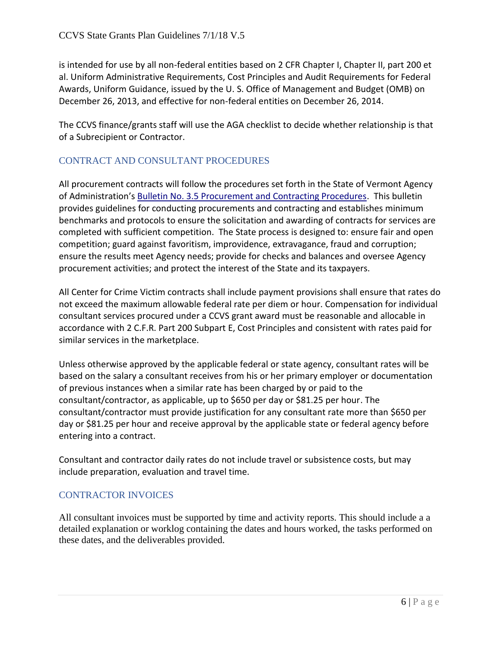is intended for use by all non-federal entities based on 2 CFR Chapter I, Chapter II, part 200 et al. Uniform Administrative Requirements, Cost Principles and Audit Requirements for Federal Awards, Uniform Guidance, issued by the U. S. Office of Management and Budget (OMB) on December 26, 2013, and effective for non-federal entities on December 26, 2014.

The CCVS finance/grants staff will use the AGA checklist to decide whether relationship is that of a Subrecipient or Contractor.

# <span id="page-6-0"></span>CONTRACT AND CONSULTANT PROCEDURES

All procurement contracts will follow the procedures set forth in the State of Vermont Agency of Administration's [Bulletin No. 3.5 Procurement and Contracting Procedures.](http://aoa.vermont.gov/sites/aoa/files/Bulletins/3point5/Bulletin_3.5_FINAL_03-29-18.pdf) This bulletin provides guidelines for conducting procurements and contracting and establishes minimum benchmarks and protocols to ensure the solicitation and awarding of contracts for services are completed with sufficient competition. The State process is designed to: ensure fair and open competition; guard against favoritism, improvidence, extravagance, fraud and corruption; ensure the results meet Agency needs; provide for checks and balances and oversee Agency procurement activities; and protect the interest of the State and its taxpayers.

All Center for Crime Victim contracts shall include payment provisions shall ensure that rates do not exceed the maximum allowable federal rate per diem or hour. Compensation for individual consultant services procured under a CCVS grant award must be reasonable and allocable in accordance with 2 C.F.R. Part 200 Subpart E, Cost Principles and consistent with rates paid for similar services in the marketplace.

Unless otherwise approved by the applicable federal or state agency, consultant rates will be based on the salary a consultant receives from his or her primary employer or documentation of previous instances when a similar rate has been charged by or paid to the consultant/contractor, as applicable, up to \$650 per day or \$81.25 per hour. The consultant/contractor must provide justification for any consultant rate more than \$650 per day or \$81.25 per hour and receive approval by the applicable state or federal agency before entering into a contract.

Consultant and contractor daily rates do not include travel or subsistence costs, but may include preparation, evaluation and travel time.

## <span id="page-6-1"></span>CONTRACTOR INVOICES

All consultant invoices must be supported by time and activity reports. This should include a a detailed explanation or worklog containing the dates and hours worked, the tasks performed on these dates, and the deliverables provided.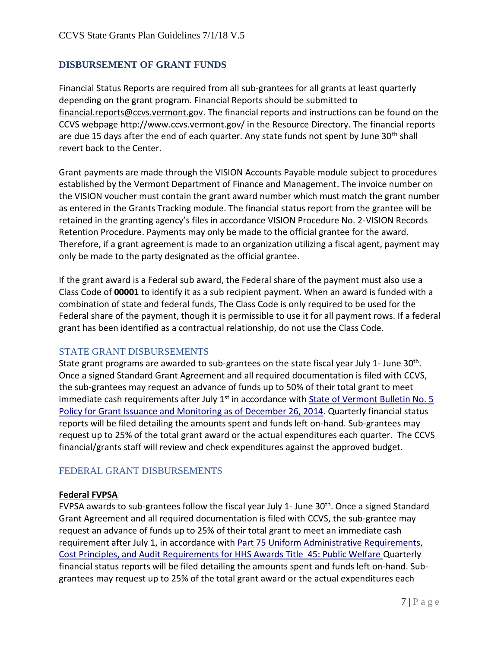# <span id="page-7-0"></span>**DISBURSEMENT OF GRANT FUNDS**

Financial Status Reports are required from all sub-grantees for all grants at least quarterly depending on the grant program. Financial Reports should be submitted to [financial.reports@ccvs.vermont.gov.](mailto:financial.reports@ccvs.vermont.gov) The financial reports and instructions can be found on the CCVS webpage http://www.ccvs.vermont.gov/ in the Resource Directory. The financial reports are due 15 days after the end of each quarter. Any state funds not spent by June  $30<sup>th</sup>$  shall revert back to the Center.

Grant payments are made through the VISION Accounts Payable module subject to procedures established by the Vermont Department of Finance and Management. The invoice number on the VISION voucher must contain the grant award number which must match the grant number as entered in the Grants Tracking module. The financial status report from the grantee will be retained in the granting agency's files in accordance VISION Procedure No. 2-VISION Records Retention Procedure. Payments may only be made to the official grantee for the award. Therefore, if a grant agreement is made to an organization utilizing a fiscal agent, payment may only be made to the party designated as the official grantee.

If the grant award is a Federal sub award, the Federal share of the payment must also use a Class Code of **00001** to identify it as a sub recipient payment. When an award is funded with a combination of state and federal funds, The Class Code is only required to be used for the Federal share of the payment, though it is permissible to use it for all payment rows. If a federal grant has been identified as a contractual relationship, do not use the Class Code.

#### <span id="page-7-1"></span>STATE GRANT DISBURSEMENTS

State grant programs are awarded to sub-grantees on the state fiscal year July 1- June 30<sup>th</sup>. Once a signed Standard Grant Agreement and all required documentation is filed with CCVS, the sub-grantees may request an advance of funds up to 50% of their total grant to meet immediate cash requirements after July  $1<sup>st</sup>$  in accordance with State of Vermont Bulletin No. 5 [Policy for Grant Issuance and Monitoring as of December 26, 2014.](http://aoa.vermont.gov/sites/aoa/files/Bulletins/Bulletin_5_eff12-26-14.pdf) Quarterly financial status reports will be filed detailing the amounts spent and funds left on-hand. Sub-grantees may request up to 25% of the total grant award or the actual expenditures each quarter. The CCVS financial/grants staff will review and check expenditures against the approved budget.

## <span id="page-7-2"></span>FEDERAL GRANT DISBURSEMENTS

#### **Federal FVPSA**

FVPSA awards to sub-grantees follow the fiscal year July 1- June 30<sup>th</sup>. Once a signed Standard Grant Agreement and all required documentation is filed with CCVS, the sub-grantee may request an advance of funds up to 25% of their total grant to meet an immediate cash requirement after July 1, in accordance with [Part 75 Uniform Administrative Requirements,](http://www.ecfr.gov/cgi-bin/text-idx?node=pt45.1.75)  [Cost Principles, and Audit Requirements for HHS Awards Title 45: Public Welfare](http://www.ecfr.gov/cgi-bin/text-idx?node=pt45.1.75) Quarterly financial status reports will be filed detailing the amounts spent and funds left on-hand. Subgrantees may request up to 25% of the total grant award or the actual expenditures each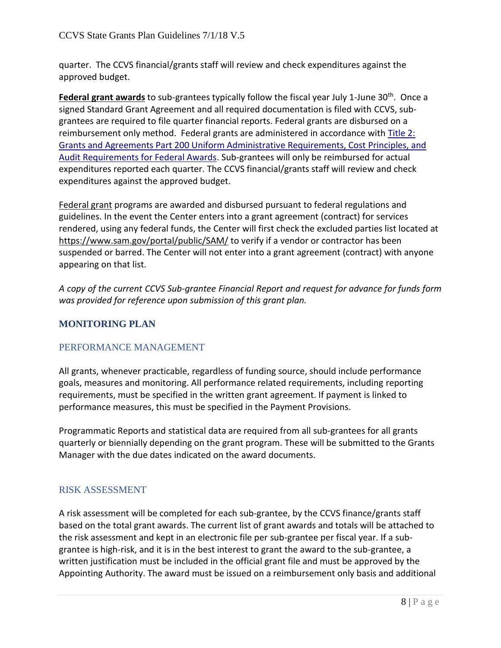quarter. The CCVS financial/grants staff will review and check expenditures against the approved budget.

**Federal grant awards** to sub-grantees typically follow the fiscal year July 1-June 30<sup>th</sup>. Once a signed Standard Grant Agreement and all required documentation is filed with CCVS, subgrantees are required to file quarter financial reports. Federal grants are disbursed on a reimbursement only method. Federal grants are administered in accordance with [Title 2:](http://www.ecfr.gov/cgi-bin/text-idx?SID=6b9496db74cd9a873dce17bf3f1c9ea9&mc=true&node=pt2.1.200&rgn=div5)  [Grants and Agreements Part 200 Uniform Administrative Requirements, Cost Principles, and](http://www.ecfr.gov/cgi-bin/text-idx?SID=6b9496db74cd9a873dce17bf3f1c9ea9&mc=true&node=pt2.1.200&rgn=div5)  [Audit Requirements for Federal Awards.](http://www.ecfr.gov/cgi-bin/text-idx?SID=6b9496db74cd9a873dce17bf3f1c9ea9&mc=true&node=pt2.1.200&rgn=div5) Sub-grantees will only be reimbursed for actual expenditures reported each quarter. The CCVS financial/grants staff will review and check expenditures against the approved budget.

Federal grant programs are awarded and disbursed pursuant to federal regulations and guidelines. In the event the Center enters into a grant agreement (contract) for services rendered, using any federal funds, the Center will first check the excluded parties list located at <https://www.sam.gov/portal/public/SAM/> to verify if a vendor or contractor has been suspended or barred. The Center will not enter into a grant agreement (contract) with anyone appearing on that list.

*A copy of the current CCVS Sub-grantee Financial Report and request for advance for funds form was provided for reference upon submission of this grant plan.*

# <span id="page-8-0"></span>**MONITORING PLAN**

# <span id="page-8-1"></span>PERFORMANCE MANAGEMENT

All grants, whenever practicable, regardless of funding source, should include performance goals, measures and monitoring. All performance related requirements, including reporting requirements, must be specified in the written grant agreement. If payment is linked to performance measures, this must be specified in the Payment Provisions.

Programmatic Reports and statistical data are required from all sub-grantees for all grants quarterly or biennially depending on the grant program. These will be submitted to the Grants Manager with the due dates indicated on the award documents.

## <span id="page-8-2"></span>RISK ASSESSMENT

A risk assessment will be completed for each sub-grantee, by the CCVS finance/grants staff based on the total grant awards. The current list of grant awards and totals will be attached to the risk assessment and kept in an electronic file per sub-grantee per fiscal year. If a subgrantee is high-risk, and it is in the best interest to grant the award to the sub-grantee, a written justification must be included in the official grant file and must be approved by the Appointing Authority. The award must be issued on a reimbursement only basis and additional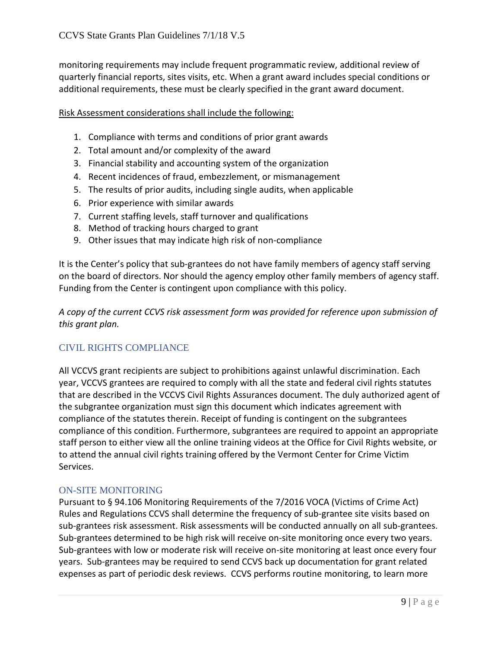monitoring requirements may include frequent programmatic review, additional review of quarterly financial reports, sites visits, etc. When a grant award includes special conditions or additional requirements, these must be clearly specified in the grant award document.

Risk Assessment considerations shall include the following:

- 1. Compliance with terms and conditions of prior grant awards
- 2. Total amount and/or complexity of the award
- 3. Financial stability and accounting system of the organization
- 4. Recent incidences of fraud, embezzlement, or mismanagement
- 5. The results of prior audits, including single audits, when applicable
- 6. Prior experience with similar awards
- 7. Current staffing levels, staff turnover and qualifications
- 8. Method of tracking hours charged to grant
- 9. Other issues that may indicate high risk of non-compliance

It is the Center's policy that sub-grantees do not have family members of agency staff serving on the board of directors. Nor should the agency employ other family members of agency staff. Funding from the Center is contingent upon compliance with this policy.

*A copy of the current CCVS risk assessment form was provided for reference upon submission of this grant plan.*

## CIVIL RIGHTS COMPLIANCE

All VCCVS grant recipients are subject to prohibitions against unlawful discrimination. Each year, VCCVS grantees are required to comply with all the state and federal civil rights statutes that are described in the VCCVS Civil Rights Assurances document. The duly authorized agent of the subgrantee organization must sign this document which indicates agreement with compliance of the statutes therein. Receipt of funding is contingent on the subgrantees compliance of this condition. Furthermore, subgrantees are required to appoint an appropriate staff person to either view all the online training videos at the Office for Civil Rights website, or to attend the annual civil rights training offered by the Vermont Center for Crime Victim Services.

#### <span id="page-9-0"></span>ON-SITE MONITORING

Pursuant to § 94.106 Monitoring Requirements of the 7/2016 VOCA (Victims of Crime Act) Rules and Regulations CCVS shall determine the frequency of sub-grantee site visits based on sub-grantees risk assessment. Risk assessments will be conducted annually on all sub-grantees. Sub-grantees determined to be high risk will receive on-site monitoring once every two years. Sub-grantees with low or moderate risk will receive on-site monitoring at least once every four years. Sub-grantees may be required to send CCVS back up documentation for grant related expenses as part of periodic desk reviews. CCVS performs routine monitoring, to learn more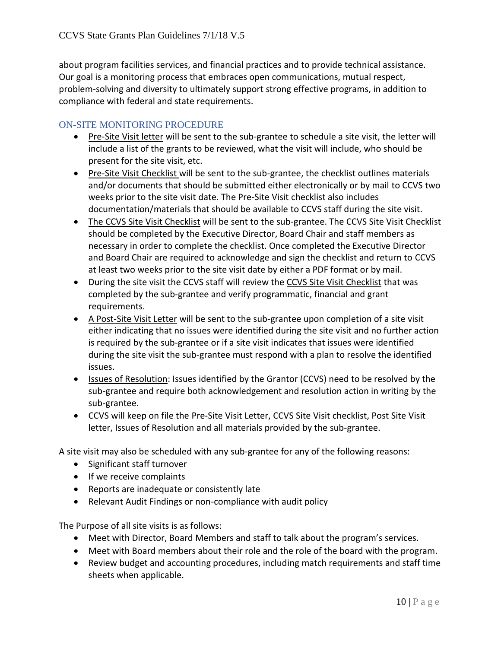about program facilities services, and financial practices and to provide technical assistance. Our goal is a monitoring process that embraces open communications, mutual respect, problem-solving and diversity to ultimately support strong effective programs, in addition to compliance with federal and state requirements.

#### <span id="page-10-0"></span>ON-SITE MONITORING PROCEDURE

- Pre-Site Visit letter will be sent to the sub-grantee to schedule a site visit, the letter will include a list of the grants to be reviewed, what the visit will include, who should be present for the site visit, etc.
- Pre-Site Visit Checklist will be sent to the sub-grantee, the checklist outlines materials and/or documents that should be submitted either electronically or by mail to CCVS two weeks prior to the site visit date. The Pre-Site Visit checklist also includes documentation/materials that should be available to CCVS staff during the site visit.
- The CCVS Site Visit Checklist will be sent to the sub-grantee. The CCVS Site Visit Checklist should be completed by the Executive Director, Board Chair and staff members as necessary in order to complete the checklist. Once completed the Executive Director and Board Chair are required to acknowledge and sign the checklist and return to CCVS at least two weeks prior to the site visit date by either a PDF format or by mail.
- During the site visit the CCVS staff will review the CCVS Site Visit Checklist that was completed by the sub-grantee and verify programmatic, financial and grant requirements.
- A Post-Site Visit Letter will be sent to the sub-grantee upon completion of a site visit either indicating that no issues were identified during the site visit and no further action is required by the sub-grantee or if a site visit indicates that issues were identified during the site visit the sub-grantee must respond with a plan to resolve the identified issues.
- Issues of Resolution: Issues identified by the Grantor (CCVS) need to be resolved by the sub-grantee and require both acknowledgement and resolution action in writing by the sub-grantee.
- CCVS will keep on file the Pre-Site Visit Letter, CCVS Site Visit checklist, Post Site Visit letter, Issues of Resolution and all materials provided by the sub-grantee.

A site visit may also be scheduled with any sub-grantee for any of the following reasons:

- Significant staff turnover
- If we receive complaints
- Reports are inadequate or consistently late
- Relevant Audit Findings or non-compliance with audit policy

The Purpose of all site visits is as follows:

- Meet with Director, Board Members and staff to talk about the program's services.
- Meet with Board members about their role and the role of the board with the program.
- Review budget and accounting procedures, including match requirements and staff time sheets when applicable.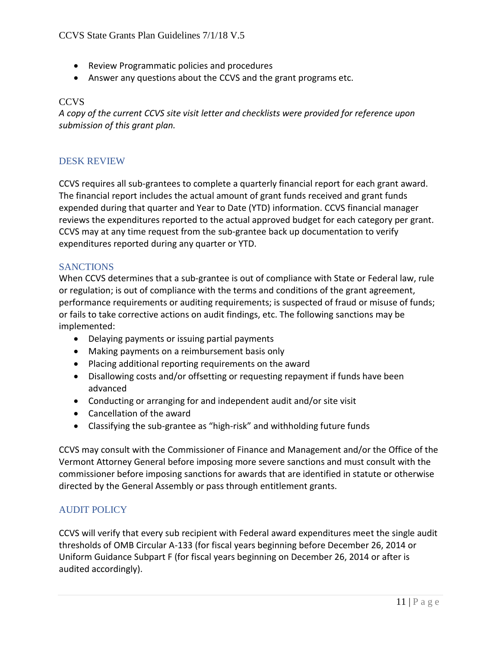- Review Programmatic policies and procedures
- Answer any questions about the CCVS and the grant programs etc.

#### CCVS

*A copy of the current CCVS site visit letter and checklists were provided for reference upon submission of this grant plan.*

#### <span id="page-11-0"></span>DESK REVIEW

CCVS requires all sub-grantees to complete a quarterly financial report for each grant award. The financial report includes the actual amount of grant funds received and grant funds expended during that quarter and Year to Date (YTD) information. CCVS financial manager reviews the expenditures reported to the actual approved budget for each category per grant. CCVS may at any time request from the sub-grantee back up documentation to verify expenditures reported during any quarter or YTD.

#### <span id="page-11-1"></span>**SANCTIONS**

When CCVS determines that a sub-grantee is out of compliance with State or Federal law, rule or regulation; is out of compliance with the terms and conditions of the grant agreement, performance requirements or auditing requirements; is suspected of fraud or misuse of funds; or fails to take corrective actions on audit findings, etc. The following sanctions may be implemented:

- Delaying payments or issuing partial payments
- Making payments on a reimbursement basis only
- Placing additional reporting requirements on the award
- Disallowing costs and/or offsetting or requesting repayment if funds have been advanced
- Conducting or arranging for and independent audit and/or site visit
- Cancellation of the award
- Classifying the sub-grantee as "high-risk" and withholding future funds

CCVS may consult with the Commissioner of Finance and Management and/or the Office of the Vermont Attorney General before imposing more severe sanctions and must consult with the commissioner before imposing sanctions for awards that are identified in statute or otherwise directed by the General Assembly or pass through entitlement grants.

## <span id="page-11-2"></span>AUDIT POLICY

CCVS will verify that every sub recipient with Federal award expenditures meet the single audit thresholds of OMB Circular A-133 (for fiscal years beginning before December 26, 2014 or Uniform Guidance Subpart F (for fiscal years beginning on December 26, 2014 or after is audited accordingly).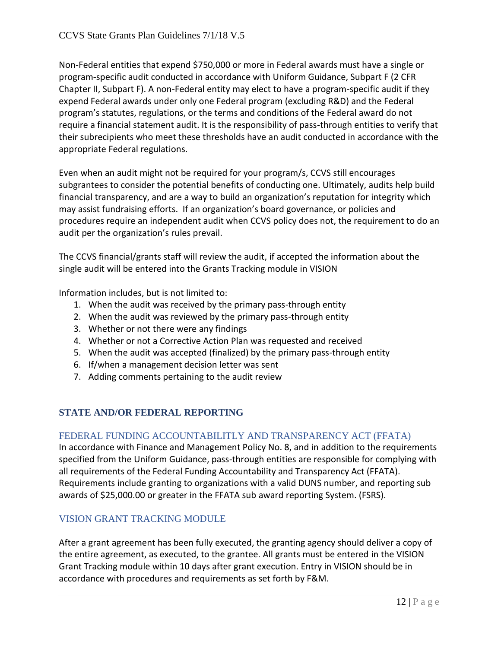Non-Federal entities that expend \$750,000 or more in Federal awards must have a single or program-specific audit conducted in accordance with Uniform Guidance, Subpart F (2 CFR Chapter II, Subpart F). A non-Federal entity may elect to have a program-specific audit if they expend Federal awards under only one Federal program (excluding R&D) and the Federal program's statutes, regulations, or the terms and conditions of the Federal award do not require a financial statement audit. It is the responsibility of pass-through entities to verify that their subrecipients who meet these thresholds have an audit conducted in accordance with the appropriate Federal regulations.

Even when an audit might not be required for your program/s, CCVS still encourages subgrantees to consider the potential benefits of conducting one. Ultimately, audits help build financial transparency, and are a way to build an organization's reputation for integrity which may assist fundraising efforts. If an organization's board governance, or policies and procedures require an independent audit when CCVS policy does not, the requirement to do an audit per the organization's rules prevail.

The CCVS financial/grants staff will review the audit, if accepted the information about the single audit will be entered into the Grants Tracking module in VISION

Information includes, but is not limited to:

- 1. When the audit was received by the primary pass-through entity
- 2. When the audit was reviewed by the primary pass-through entity
- 3. Whether or not there were any findings
- 4. Whether or not a Corrective Action Plan was requested and received
- 5. When the audit was accepted (finalized) by the primary pass-through entity
- 6. If/when a management decision letter was sent
- 7. Adding comments pertaining to the audit review

# <span id="page-12-0"></span>**STATE AND/OR FEDERAL REPORTING**

## <span id="page-12-1"></span>FEDERAL FUNDING ACCOUNTABILITLY AND TRANSPARENCY ACT (FFATA)

In accordance with Finance and Management Policy No. 8, and in addition to the requirements specified from the Uniform Guidance, pass-through entities are responsible for complying with all requirements of the Federal Funding Accountability and Transparency Act (FFATA). Requirements include granting to organizations with a valid DUNS number, and reporting sub awards of \$25,000.00 or greater in the FFATA sub award reporting System. (FSRS).

## <span id="page-12-2"></span>VISION GRANT TRACKING MODULE

After a grant agreement has been fully executed, the granting agency should deliver a copy of the entire agreement, as executed, to the grantee. All grants must be entered in the VISION Grant Tracking module within 10 days after grant execution. Entry in VISION should be in accordance with procedures and requirements as set forth by F&M.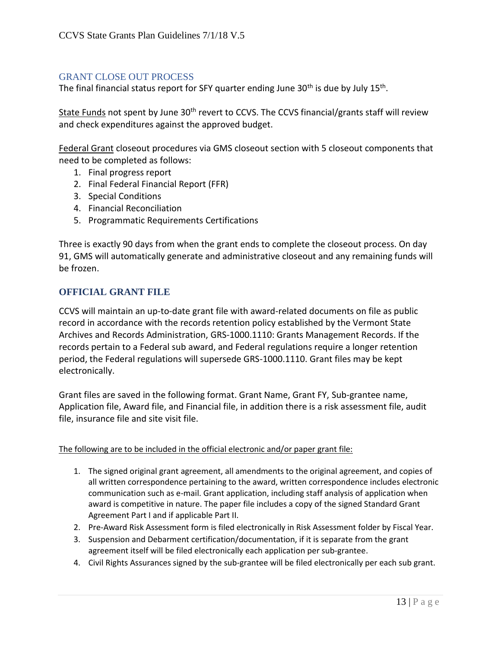#### <span id="page-13-0"></span>GRANT CLOSE OUT PROCESS

The final financial status report for SFY quarter ending June 30<sup>th</sup> is due by July 15<sup>th</sup>.

State Funds not spent by June 30<sup>th</sup> revert to CCVS. The CCVS financial/grants staff will review and check expenditures against the approved budget.

Federal Grant closeout procedures via GMS closeout section with 5 closeout components that need to be completed as follows:

- 1. Final progress report
- 2. Final Federal Financial Report (FFR)
- 3. Special Conditions
- 4. Financial Reconciliation
- 5. Programmatic Requirements Certifications

Three is exactly 90 days from when the grant ends to complete the closeout process. On day 91, GMS will automatically generate and administrative closeout and any remaining funds will be frozen.

#### <span id="page-13-1"></span>**OFFICIAL GRANT FILE**

CCVS will maintain an up-to-date grant file with award-related documents on file as public record in accordance with the records retention policy established by the Vermont State Archives and Records Administration, GRS-1000.1110: Grants Management Records. If the records pertain to a Federal sub award, and Federal regulations require a longer retention period, the Federal regulations will supersede GRS-1000.1110. Grant files may be kept electronically.

Grant files are saved in the following format. Grant Name, Grant FY, Sub-grantee name, Application file, Award file, and Financial file, in addition there is a risk assessment file, audit file, insurance file and site visit file.

#### The following are to be included in the official electronic and/or paper grant file:

- 1. The signed original grant agreement, all amendments to the original agreement, and copies of all written correspondence pertaining to the award, written correspondence includes electronic communication such as e-mail. Grant application, including staff analysis of application when award is competitive in nature. The paper file includes a copy of the signed Standard Grant Agreement Part I and if applicable Part II.
- 2. Pre-Award Risk Assessment form is filed electronically in Risk Assessment folder by Fiscal Year.
- 3. Suspension and Debarment certification/documentation, if it is separate from the grant agreement itself will be filed electronically each application per sub-grantee.
- 4. Civil Rights Assurances signed by the sub-grantee will be filed electronically per each sub grant.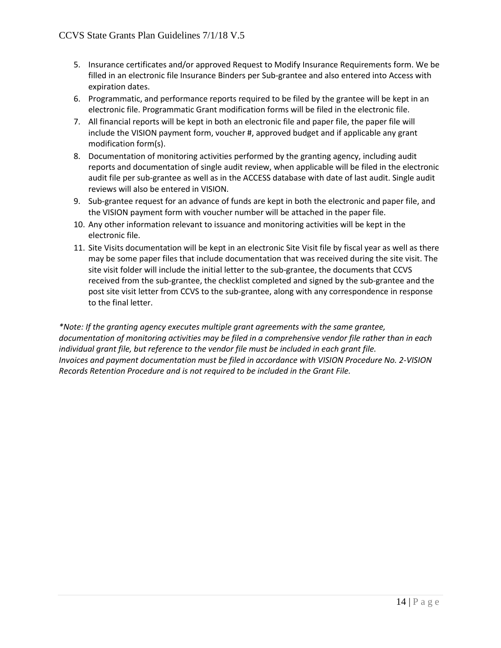- 5. Insurance certificates and/or approved Request to Modify Insurance Requirements form. We be filled in an electronic file Insurance Binders per Sub-grantee and also entered into Access with expiration dates.
- 6. Programmatic, and performance reports required to be filed by the grantee will be kept in an electronic file. Programmatic Grant modification forms will be filed in the electronic file.
- 7. All financial reports will be kept in both an electronic file and paper file, the paper file will include the VISION payment form, voucher #, approved budget and if applicable any grant modification form(s).
- 8. Documentation of monitoring activities performed by the granting agency, including audit reports and documentation of single audit review, when applicable will be filed in the electronic audit file per sub-grantee as well as in the ACCESS database with date of last audit. Single audit reviews will also be entered in VISION.
- 9. Sub-grantee request for an advance of funds are kept in both the electronic and paper file, and the VISION payment form with voucher number will be attached in the paper file.
- 10. Any other information relevant to issuance and monitoring activities will be kept in the electronic file.
- 11. Site Visits documentation will be kept in an electronic Site Visit file by fiscal year as well as there may be some paper files that include documentation that was received during the site visit. The site visit folder will include the initial letter to the sub-grantee, the documents that CCVS received from the sub-grantee, the checklist completed and signed by the sub-grantee and the post site visit letter from CCVS to the sub-grantee, along with any correspondence in response to the final letter.

*\*Note: If the granting agency executes multiple grant agreements with the same grantee, documentation of monitoring activities may be filed in a comprehensive vendor file rather than in each individual grant file, but reference to the vendor file must be included in each grant file. Invoices and payment documentation must be filed in accordance with VISION Procedure No. 2-VISION Records Retention Procedure and is not required to be included in the Grant File.*